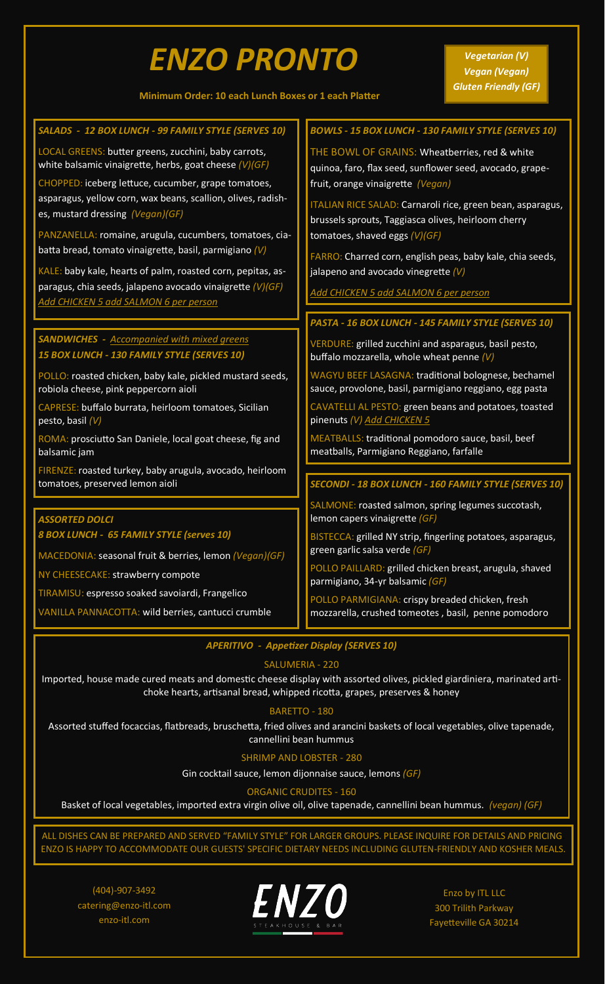# *ENZO PRONTO*

**Minimum Order: 10 each Lunch Boxes or 1 each Platter**

| SALADS - 12 BOX LUNCH - 99 FAMILY STYLE (SERVES 10)          | <b>BOWLS - 15 BOX LUNCH - 130 FAMILY STYLE (SERVES 10)</b>                                             |
|--------------------------------------------------------------|--------------------------------------------------------------------------------------------------------|
| LOCAL GREENS: butter greens, zucchini, baby carrots,         | THE BOWL OF GRAINS: Wheatberries, red & white                                                          |
| white balsamic vinaigrette, herbs, goat cheese $(V)(GF)$     | quinoa, faro, flax seed, sunflower seed, avocado, grape-                                               |
| CHOPPED: iceberg lettuce, cucumber, grape tomatoes,          | fruit, orange vinaigrette (Vegan)                                                                      |
| asparagus, yellow corn, wax beans, scallion, olives, radish- | ITALIAN RICE SALAD: Carnaroli rice, green bean, asparagus,                                             |
| es, mustard dressing (Vegan)(GF)                             | brussels sprouts, Taggiasca olives, heirloom cherry                                                    |
| PANZANELLA: romaine, arugula, cucumbers, tomatoes, cia-      | tomatoes, shaved eggs $(V)(GF)$                                                                        |
| batta bread, tomato vinaigrette, basil, parmigiano (V)       | FARRO: Charred corn, english peas, baby kale, chia seeds,                                              |
| KALE: baby kale, hearts of palm, roasted corn, pepitas, as-  | jalapeno and avocado vinegrette $(V)$                                                                  |
| paragus, chia seeds, jalapeno avocado vinaigrette (V)(GF)    | Add CHICKEN 5 add SALMON 6 per person                                                                  |
| Add CHICKEN 5 add SALMON 6 per person                        |                                                                                                        |
|                                                              | PASTA - 16 BOX LUNCH - 145 FAMILY STYLE (SERVES 10)                                                    |
| <b>SANDWICHES</b> - Accompanied with mixed greens            |                                                                                                        |
| 15 BOX LUNCH - 130 FAMILY STYLE (SERVES 10)                  | VERDURE: grilled zucchini and asparagus, basil pesto,<br>buffalo mozzarella, whole wheat penne (V)     |
| POLLO: roasted chicken, baby kale, pickled mustard seeds,    | WAGYU BEEF LASAGNA: traditional bolognese, bechamel                                                    |
| robiola cheese, pink peppercorn aioli                        | sauce, provolone, basil, parmigiano reggiano, egg pasta                                                |
| CAPRESE: buffalo burrata, heirloom tomatoes, Sicilian        | CAVATELLI AL PESTO: green beans and potatoes, toasted                                                  |
| pesto, basil (V)                                             | pinenuts (V) Add CHICKEN 5                                                                             |
| ROMA: prosciutto San Daniele, local goat cheese, fig and     | MEATBALLS: traditional pomodoro sauce, basil, beef                                                     |
| balsamic jam                                                 | meatballs, Parmigiano Reggiano, farfalle                                                               |
| FIRENZE: roasted turkey, baby arugula, avocado, heirloom     |                                                                                                        |
| tomatoes, preserved lemon aioli                              | SECONDI - 18 BOX LUNCH - 160 FAMILY STYLE (SERVES 10)                                                  |
|                                                              | SALMONE: roasted salmon, spring legumes succotash,                                                     |
| <b>ASSORTED DOLCI</b>                                        | lemon capers vinaigrette (GF)                                                                          |
| 8 BOX LUNCH - 65 FAMILY STYLE (serves 10)                    | BISTECCA: grilled NY strip, fingerling potatoes, asparagus,                                            |
| MACEDONIA: seasonal fruit & berries, lemon (Vegan)(GF)       | green garlic salsa verde (GF)                                                                          |
| NY CHEESECAKE: strawberry compote                            | POLLO PAILLARD: grilled chicken breast, arugula, shaved<br>parmigiano, 34-yr balsamic (GF)             |
| TIRAMISU: espresso soaked savoiardi, Frangelico              |                                                                                                        |
| VANILLA PANNACOTTA: wild berries, cantucci crumble           | POLLO PARMIGIANA: crispy breaded chicken, fresh<br>mozzarella, crushed tomeotes, basil, penne pomodoro |
|                                                              |                                                                                                        |

*APERITIVO - Appetizer Display (SERVES 10)*

## SALUMERIA - 220

Imported, house made cured meats and domestic cheese display with assorted olives, pickled giardiniera, marinated artichoke hearts, artisanal bread, whipped ricotta, grapes, preserves & honey

### BARETTO - 180

Assorted stuffed focaccias, flatbreads, bruschetta, fried olives and arancini baskets of local vegetables, olive tapenade, cannellini bean hummus

### SHRIMP AND LOBSTER - 280

Gin cocktail sauce, lemon dijonnaise sauce, lemons *(GF)*

### ORGANIC CRUDITES - 160

Basket of local vegetables, imported extra virgin olive oil, olive tapenade, cannellini bean hummus. *(vegan) (GF)*

ALL DISHES CAN BE PREPARED AND SERVED "FAMILY STYLE" FOR LARGER GROUPS. PLEASE INQUIRE FOR DETAILS AND PRICING. ENZO IS HAPPY TO ACCOMMODATE OUR GUESTS' SPECIFIC DIETARY NEEDS INCLUDING GLUTEN-FRIENDLY AND KOSHER MEALS.

(404)-907-3492 catering@enzo-itl.com enzo-itl.com



Enzo by ITL LLC 300 Trilith Parkway Fayetteville GA 30214